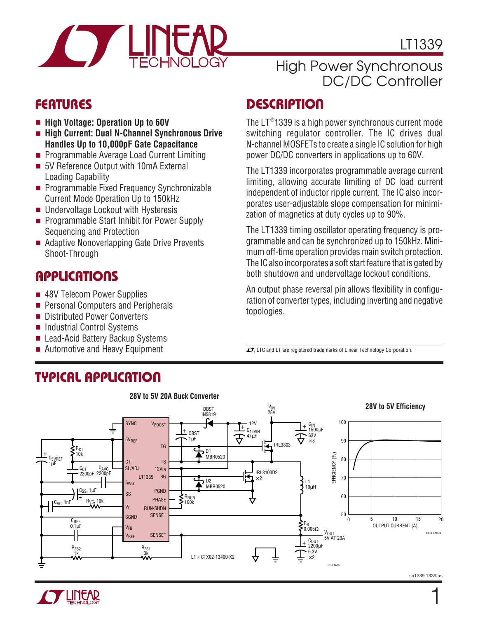

### High Power Synchronous DC/DC Controller

- **High Voltage: Operation Up to 60V**
- **High Current: Dual N-Channel Synchronous Drive Handles Up to 10,000pF Gate Capacitance**
- Programmable Average Load Current Limiting
- 5V Reference Output with 10mA External Loading Capability
- Programmable Fixed Frequency Synchronizable Current Mode Operation Up to 150kHz
- Undervoltage Lockout with Hysteresis
- Programmable Start Inhibit for Power Supply Sequencing and Protection
- Adaptive Nonoverlapping Gate Drive Prevents Shoot-Through

#### **APPLICATIONS**  $\overline{\phantom{0}}$

- 48V Telecom Power Supplies
- Personal Computers and Peripherals
- Distributed Power Converters
- Industrial Control Systems
- Lead-Acid Battery Backup Systems
- Automotive and Heavy Equipment

# **TYPICAL APPLICATION U**

## **DESCRIPTION U FEATURES**

The LT $^{\circ}$ 1339 is a high power synchronous current mode switching regulator controller. The IC drives dual N-channel MOSFETs to create a single IC solution for high power DC/DC converters in applications up to 60V.

The LT1339 incorporates programmable average current limiting, allowing accurate limiting of DC load current independent of inductor ripple current. The IC also incorporates user-adjustable slope compensation for minimization of magnetics at duty cycles up to 90%.

The LT1339 timing oscillator operating frequency is programmable and can be synchronized up to 150kHz. Minimum off-time operation provides main switch protection. The IC also incorporates a soft start feature that is gated by both shutdown and undervoltage lockout conditions.

An output phase reversal pin allows flexibility in configuration of converter types, including inverting and negative topologies.

 $\sqrt{J}$ , LTC and LT are registered trademarks of Linear Technology Corporation.



sn1339 1339fas

1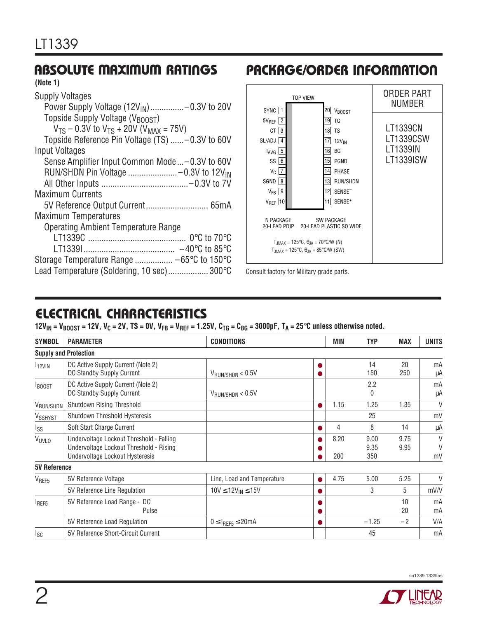### **ABSOLUTE MAXIMUM RATINGS**

#### **(Note 1)**

| <b>Supply Voltages</b>                               |
|------------------------------------------------------|
| Power Supply Voltage $(12V_{IN})$ -0.3V to 20V       |
| Topside Supply Voltage (V <sub>BOOST</sub> )         |
| $V_{TS}$ – 0.3V to $V_{TS}$ + 20V ( $V_{MAX}$ = 75V) |
| Topside Reference Pin Voltage (TS)  -0.3V to 60V     |
| Input Voltages                                       |
| Sense Amplifier Input Common Mode-0.3V to 60V        |
|                                                      |
|                                                      |
| <b>Maximum Currents</b>                              |
|                                                      |
| <b>Maximum Temperatures</b>                          |
| <b>Operating Ambient Temperature Range</b>           |
|                                                      |
|                                                      |
| Storage Temperature Range  -65°C to 150°C            |
| Lead Temperature (Soldering, 10 sec) 300°C           |



**PACKAGE/ORDER INFORMATION** 

Consult factory for Military grade parts.

### **ELECTRICAL CHARACTERISTICS**

 $12V_{IN} = V_{B00ST} = 12V$ ,  $V_C = 2V$ ,  $TS = 0V$ ,  $V_{FB} = V_{REF} = 1.25V$ ,  $C_{TG} = C_{BG} = 3000p$ F,  $T_A = 25°C$  unless otherwise noted.

| <b>SYMBOL</b>                | <b>PARAMETER</b>                                                                                                       | <b>CONDITIONS</b>            |           | MIN         | <b>TYP</b>          | <b>MAX</b>   | <b>UNITS</b>           |
|------------------------------|------------------------------------------------------------------------------------------------------------------------|------------------------------|-----------|-------------|---------------------|--------------|------------------------|
| <b>Supply and Protection</b> |                                                                                                                        |                              |           |             |                     |              |                        |
| $I12$ VIN                    | DC Active Supply Current (Note 2)<br>DC Standby Supply Current                                                         | $V_{\text{RUN/SHDN}} < 0.5V$ | O         |             | 14<br>150           | 20<br>250    | mA<br>μA               |
| <b>BOOST</b>                 | DC Active Supply Current (Note 2)<br>DC Standby Supply Current                                                         | $V_{\text{RUN/SHDN}} < 0.5V$ |           |             | 2.2<br>$\mathbf{0}$ |              | mA<br>μA               |
| VRUN/SHDN                    | Shutdown Rising Threshold                                                                                              |                              | $\bullet$ | 1.15        | 1.25                | 1.35         | V                      |
| V <sub>SSHYST</sub>          | Shutdown Threshold Hysteresis                                                                                          |                              |           |             | 25                  |              | mV                     |
| <sub>Iss</sub>               | Soft Start Charge Current                                                                                              |                              | ●         | 4           | 8                   | 14           | μA                     |
| VUVLO                        | Undervoltage Lockout Threshold - Falling<br>Undervoltage Lockout Threshold - Rising<br>Undervoltage Lockout Hysteresis |                              |           | 8.20<br>200 | 9.00<br>9.35<br>350 | 9.75<br>9.95 | $\vee$<br>$\vee$<br>mV |
| <b>5V Reference</b>          |                                                                                                                        |                              |           |             |                     |              |                        |
| V <sub>REF5</sub>            | 5V Reference Voltage                                                                                                   | Line, Load and Temperature   | ●         | 4.75        | 5.00                | 5.25         | $\vee$                 |
|                              | 5V Reference Line Regulation                                                                                           | $10V \le 12V_{IN} \le 15V$   |           |             | 3                   | 5            | mV/V                   |
| <b>IREF5</b>                 | 5V Reference Load Range - DC<br>Pulse                                                                                  |                              | o<br>O    |             |                     | 10<br>20     | mA<br>mA               |
|                              | 5V Reference Load Regulation                                                                                           | $0 \leq I_{REF5} \leq 20mA$  | 0         |             | $-1.25$             | $-2$         | V/A                    |
| <sub>Isc</sub>               | 5V Reference Short-Circuit Current                                                                                     |                              |           |             | 45                  |              | mA                     |

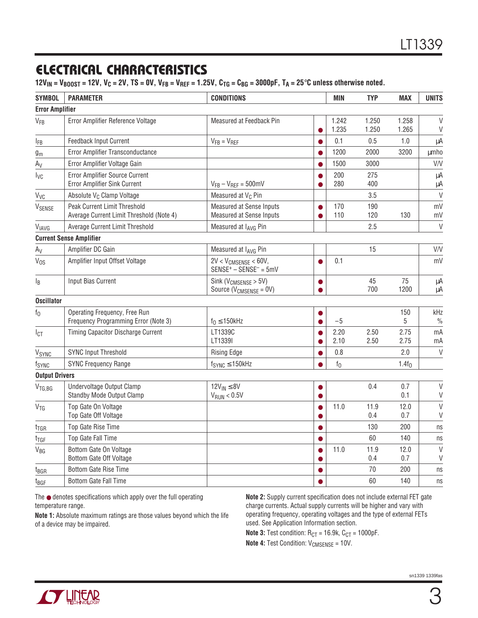### **ELECTRICAL CHARACTERISTICS**

 $12V_{IN} = V_{B00ST} = 12V$ ,  $V_C = 2V$ ,  $TS = 0V$ ,  $V_{FB} = V_{REF} = 1.25V$ ,  $C_{TG} = C_{BG} = 3000p$ F,  $T_A = 25°C$  unless otherwise noted.

| <b>SYMBOL</b>          | <b>PARAMETER</b>                                                         | <b>CONDITIONS</b>                                               |                        | <b>MIN</b>     | <b>TYP</b>     | <b>MAX</b>     | <b>UNITS</b>           |
|------------------------|--------------------------------------------------------------------------|-----------------------------------------------------------------|------------------------|----------------|----------------|----------------|------------------------|
| <b>Error Amplifier</b> |                                                                          |                                                                 |                        |                |                |                |                        |
| V <sub>FB</sub>        | Error Amplifier Reference Voltage                                        | Measured at Feedback Pin                                        | $\bullet$              | 1.242<br>1.235 | 1.250<br>1.250 | 1.258<br>1.265 | $\vee$<br>V            |
| $I_{FB}$               | <b>Feedback Input Current</b>                                            | $V_{FB} = V_{REF}$                                              | $\bullet$              | 0.1            | 0.5            | 1.0            | μA                     |
| $g_m$                  | Error Amplifier Transconductance                                         |                                                                 | $\bullet$              | 1200           | 2000           | 3200           | <b>µmho</b>            |
| $A_V$                  | Error Amplifier Voltage Gain                                             |                                                                 | $\bullet$              | 1500           | 3000           |                | V/V                    |
| $I_{\text{VC}}$        | Error Amplifier Source Current<br>Error Amplifier Sink Current           | $V_{FB} - V_{REF} = 500$ mV                                     | $\bullet$<br>$\bullet$ | 200<br>280     | 275<br>400     |                | μA<br>μA               |
| $V_{\text{VC}}$        | Absolute V <sub>C</sub> Clamp Voltage                                    | Measured at V <sub>C</sub> Pin                                  |                        |                | 3.5            |                | $\vee$                 |
| V <sub>SENSE</sub>     | Peak Current Limit Threshold<br>Average Current Limit Threshold (Note 4) | Measured at Sense Inputs<br>Measured at Sense Inputs            | 0                      | 170<br>110     | 190<br>120     | 130            | mV<br>mV               |
| VIAVG                  | Average Current Limit Threshold                                          | Measured at IAVG Pin                                            |                        |                | 2.5            |                | $\vee$                 |
|                        | <b>Current Sense Amplifier</b>                                           |                                                                 |                        |                |                |                |                        |
| $A_V$                  | Amplifier DC Gain                                                        | Measured at IAVG Pin                                            |                        |                | 15             |                | V/V                    |
| $V_{OS}$               | Amplifier Input Offset Voltage                                           | $2V < V_{CMSENSE} < 60V$ ,<br>$SENSE^{+}$ – $SENSE^{-}$ = $5mV$ | $\bullet$              | 0.1            |                |                | mV                     |
| $I_B$                  | Input Bias Current                                                       | Sink ( $V_{CMSENSE}$ > 5V)<br>Source ( $V_{CMSENSE} = 0V$ )     | 0                      |                | 45<br>700      | 75<br>1200     | μA<br>μA               |
| <b>Oscillator</b>      |                                                                          |                                                                 |                        |                |                |                |                        |
| $f_{0}$                | Operating Frequency, Free Run<br>Frequency Programming Error (Note 3)    | $f_0 \leq 150$ kHz                                              | $\bullet$              | $-5$           |                | 150<br>5       | kHz<br>$\frac{0}{0}$   |
| $I_{\text{CT}}$        | <b>Timing Capacitor Discharge Current</b>                                | LT1339C<br>LT1339I                                              | $\bullet$<br>$\bullet$ | 2.20<br>2.10   | 2.50<br>2.50   | 2.75<br>2.75   | mA<br>mA               |
| VSYNC                  | <b>SYNC Input Threshold</b>                                              | <b>Rising Edge</b>                                              | $\bullet$              | 0.8            |                | 2.0            | $\vee$                 |
| fsync                  | <b>SYNC Frequency Range</b>                                              | $f_{SYNC} \leq 150$ kHz                                         |                        | $f_0$          |                | $1.4f_0$       |                        |
| <b>Output Drivers</b>  |                                                                          |                                                                 |                        |                |                |                |                        |
| $V_{TG,BG}$            | Undervoltage Output Clamp<br>Standby Mode Output Clamp                   | $12V_{IN} \leq 8V$<br>$V_{RUN}$ < 0.5V                          | 0<br>$\bullet$         |                | 0.4            | 0.7<br>0.1     | $\vee$<br>$\mathsf{V}$ |
| $V_{TG}$               | Top Gate On Voltage<br>Top Gate Off Voltage                              |                                                                 | $\bullet$<br>$\bullet$ | 11.0           | 11.9<br>0.4    | 12.0<br>0.7    | $\vee$<br>$\vee$       |
| $t_{\text{TGR}}$       | Top Gate Rise Time                                                       |                                                                 | $\bullet$              |                | 130            | 200            | ns                     |
| t <sub>tgf</sub>       | Top Gate Fall Time                                                       |                                                                 | $\bullet$              |                | 60             | 140            | ns                     |
| V <sub>BG</sub>        | Bottom Gate On Voltage<br>Bottom Gate Off Voltage                        |                                                                 | $\bullet$<br>$\bullet$ | 11.0           | 11.9<br>0.4    | 12.0<br>0.7    | $\vee$<br>V            |
| t <sub>BGR</sub>       | Bottom Gate Rise Time                                                    |                                                                 | $\bullet$              |                | 70             | 200            | ns                     |
| $t_{\text{BGF}}$       | <b>Bottom Gate Fall Time</b>                                             |                                                                 | ●                      |                | 60             | 140            | ns                     |

The ● denotes specifications which apply over the full operating temperature range.

**Note 1:** Absolute maximum ratings are those values beyond which the life of a device may be impaired.

**Note 2:** Supply current specification does not include external FET gate charge currents. Actual supply currents will be higher and vary with operating frequency, operating voltages and the type of external FETs used. See Application Information section.

**Note 3:** Test condition:  $R_{CT} = 16.9k$ ,  $C_{CT} = 1000pF$ .

**Note 4: Test Condition: V<sub>CMSENSE</sub> = 10V.** 

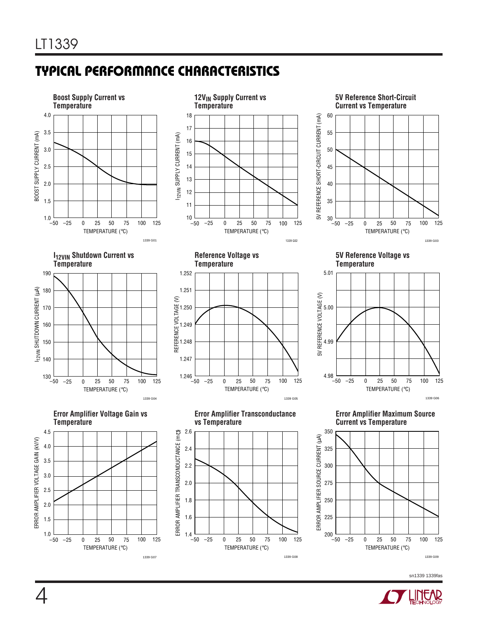### **TYPICAL PERFORMANCE CHARACTERISTICS U W**



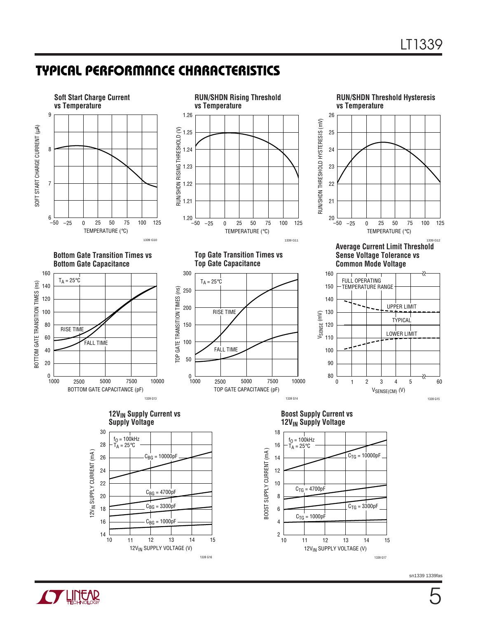### **TYPICAL PERFORMANCE CHARACTERISTICS U W**



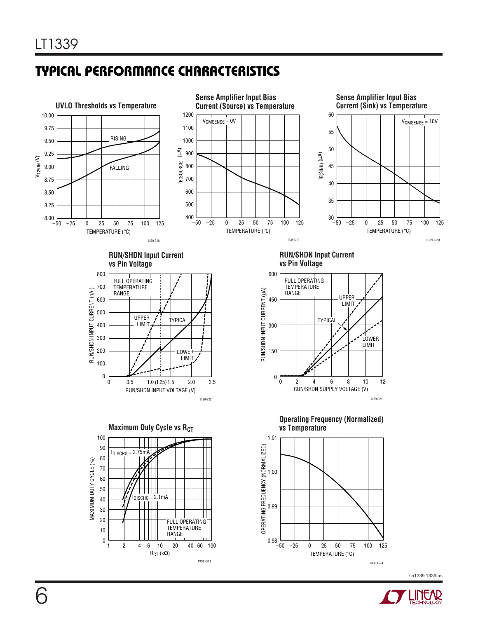### **TYPICAL PERFORMANCE CHARACTERISTICS U W**

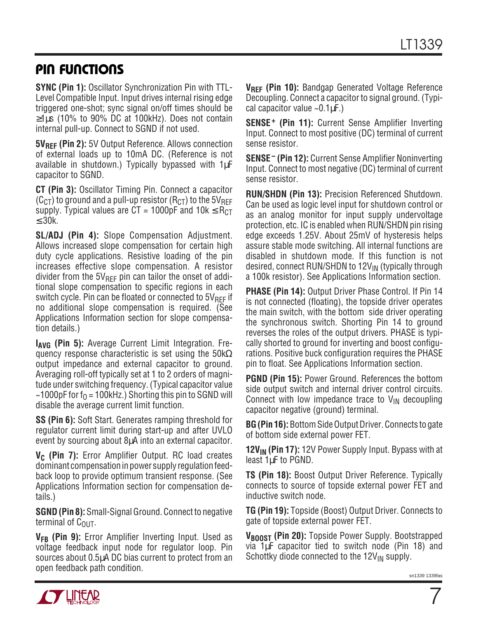### **PIN FUNCTIONS**

**SYNC (Pin 1):** Oscillator Synchronization Pin with TTL-Level Compatible Input. Input drives internal rising edge triggered one-shot; sync signal on/off times should be  $\geq$ 1µs (10% to 90% DC at 100kHz). Does not contain internal pull-up. Connect to SGND if not used.

**5V<sub>RFF</sub>** (Pin 2): 5V Output Reference. Allows connection of external loads up to 10mA DC. (Reference is not available in shutdown.) Typically bypassed with 1µF capacitor to SGND.

**CT (Pin 3):** Oscillator Timing Pin. Connect a capacitor  $(C_{CT})$  to ground and a pull-up resistor (R<sub>CT</sub>) to the 5V<sub>REF</sub> supply. Typical values are CT = 1000pF and 10k  $\leq$  R<sub>CT</sub> ≤ 30k.

**SL/ADJ (Pin 4):** Slope Compensation Adjustment. Allows increased slope compensation for certain high duty cycle applications. Resistive loading of the pin increases effective slope compensation. A resistor divider from the  $5V_{RFF}$  pin can tailor the onset of additional slope compensation to specific regions in each switch cycle. Pin can be floated or connected to  $5V_{BFF}$  if no additional slope compensation is required. (See Applications Information section for slope compensation details.)

**I<sub>AVG</sub>** (Pin 5): Average Current Limit Integration. Frequency response characteristic is set using the  $50k\Omega$ output impedance and external capacitor to ground. Averaging roll-off typically set at 1 to 2 orders of magnitude under switching frequency. (Typical capacitor value ~1000pF for  $f_0 = 100$ kHz.) Shorting this pin to SGND will disable the average current limit function.

**SS (Pin 6):** Soft Start. Generates ramping threshold for regulator current limit during start-up and after UVLO event by sourcing about 8µA into an external capacitor.

**V<sub>C</sub>** (Pin 7): Error Amplifier Output. RC load creates dominant compensation in power supply regulation feedback loop to provide optimum transient response. (See Applications Information section for compensation details.)

**SGND (Pin 8):** Small-Signal Ground. Connect to negative terminal of  $C_{\text{OUT}}$ .

V<sub>FB</sub> (Pin 9): Error Amplifier Inverting Input. Used as voltage feedback input node for regulator loop. Pin sources about 0.5µA DC bias current to protect from an open feedback path condition.

**VREF (Pin 10):** Bandgap Generated Voltage Reference Decoupling. Connect a capacitor to signal ground. (Typical capacitor value  $\sim 0.1 \mu$ F.)

**SENSE<sup>+</sup>** (Pin 11): Current Sense Amplifier Inverting Input. Connect to most positive (DC) terminal of current sense resistor.

**SENSE – (Pin 12):** Current Sense Amplifier Noninverting Input. Connect to most negative (DC) terminal of current sense resistor.

**RUN/SHDN (Pin 13):** Precision Referenced Shutdown. Can be used as logic level input for shutdown control or as an analog monitor for input supply undervoltage protection, etc. IC is enabled when RUN/SHDN pin rising edge exceeds 1.25V. About 25mV of hysteresis helps assure stable mode switching. All internal functions are disabled in shutdown mode. If this function is not desired, connect RUN/SHDN to  $12V_{IN}$  (typically through a 100k resistor). See Applications Information section.

**PHASE (Pin 14):** Output Driver Phase Control. If Pin 14 is not connected (floating), the topside driver operates the main switch, with the bottom side driver operating the synchronous switch. Shorting Pin 14 to ground reverses the roles of the output drivers. PHASE is typically shorted to ground for inverting and boost configurations. Positive buck configuration requires the PHASE pin to float. See Applications Information section.

**PGND (Pin 15):** Power Ground. References the bottom side output switch and internal driver control circuits. Connect with low impedance trace to  $V_{IN}$  decoupling capacitor negative (ground) terminal.

**BG (Pin 16):** Bottom Side Output Driver. Connects to gate of bottom side external power FET.

**12V<sub>IN</sub>** (Pin 17): 12V Power Supply Input. Bypass with at least 1µF to PGND.

**TS (Pin 18):** Boost Output Driver Reference. Typically connects to source of topside external power FET and inductive switch node.

**TG (Pin 19):** Topside (Boost) Output Driver. Connects to gate of topside external power FET.

**VBOOST (Pin 20):** Topside Power Supply. Bootstrapped via 1µF capacitor tied to switch node (Pin 18) and Schottky diode connected to the  $12V_{IN}$  supply.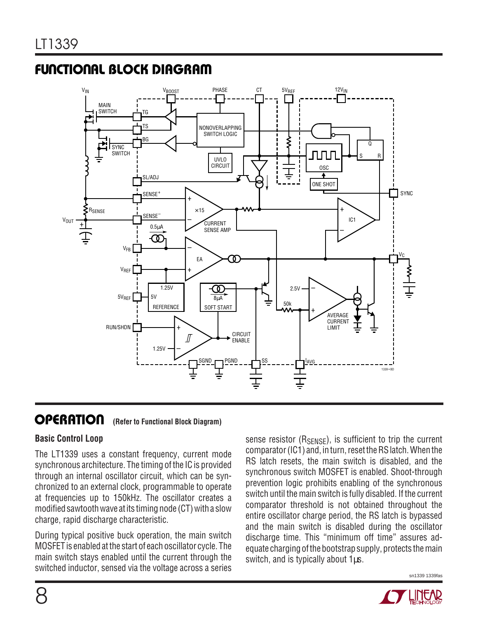### **FUNCTIONAL BLOCK DIAGRAM**



#### **OPERATION u (Refer to Functional Block Diagram)**

#### **Basic Control Loop**

The LT1339 uses a constant frequency, current mode synchronous architecture. The timing of the IC is provided through an internal oscillator circuit, which can be synchronized to an external clock, programmable to operate at frequencies up to 150kHz. The oscillator creates a modified sawtooth wave at its timing node (CT) with a slow charge, rapid discharge characteristic.

During typical positive buck operation, the main switch MOSFET is enabled at the start of each oscillator cycle. The main switch stays enabled until the current through the switched inductor, sensed via the voltage across a series sense resistor  $(R_{\text{SENSE}})$ , is sufficient to trip the current comparator (IC1) and, in turn, reset the RS latch. When the RS latch resets, the main switch is disabled, and the synchronous switch MOSFET is enabled. Shoot-through prevention logic prohibits enabling of the synchronous switch until the main switch is fully disabled. If the current comparator threshold is not obtained throughout the entire oscillator charge period, the RS latch is bypassed and the main switch is disabled during the oscillator discharge time. This "minimum off time" assures adequate charging of the bootstrap supply, protects the main switch, and is typically about 1 $\mu$ s.

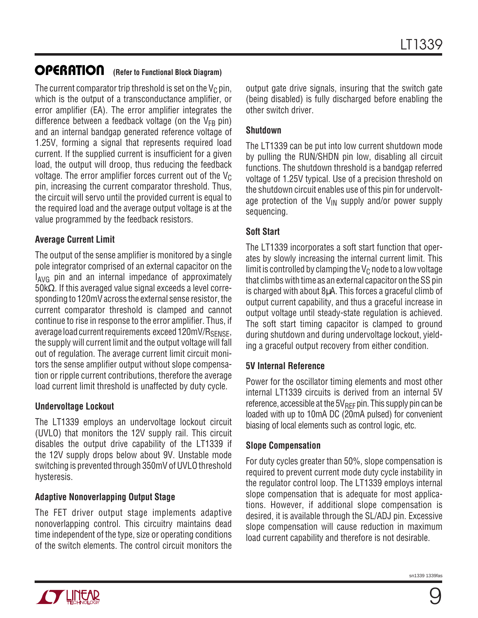#### **OPERATION U (Refer to Functional Block Diagram)**

The current comparator trip threshold is set on the  $V_C$  pin, which is the output of a transconductance amplifier, or error amplifier (EA). The error amplifier integrates the difference between a feedback voltage (on the  $V_{FB}$  pin) and an internal bandgap generated reference voltage of 1.25V, forming a signal that represents required load current. If the supplied current is insufficient for a given load, the output will droop, thus reducing the feedback voltage. The error amplifier forces current out of the  $V_C$ pin, increasing the current comparator threshold. Thus, the circuit will servo until the provided current is equal to the required load and the average output voltage is at the value programmed by the feedback resistors.

#### **Average Current Limit**

The output of the sense amplifier is monitored by a single pole integrator comprised of an external capacitor on the  $I_{\text{AVG}}$  pin and an internal impedance of approximately 50kΩ. If this averaged value signal exceeds a level corresponding to 120mV across the external sense resistor, the current comparator threshold is clamped and cannot continue to rise in response to the error amplifier. Thus, if average load current requirements exceed 120mV/R<sub>SENSE</sub>, the supply will current limit and the output voltage will fall out of regulation. The average current limit circuit monitors the sense amplifier output without slope compensation or ripple current contributions, therefore the average load current limit threshold is unaffected by duty cycle.

#### **Undervoltage Lockout**

The LT1339 employs an undervoltage lockout circuit (UVLO) that monitors the 12V supply rail. This circuit disables the output drive capability of the LT1339 if the 12V supply drops below about 9V. Unstable mode switching is prevented through 350mV of UVLO threshold hysteresis.

#### **Adaptive Nonoverlapping Output Stage**

The FET driver output stage implements adaptive nonoverlapping control. This circuitry maintains dead time independent of the type, size or operating conditions of the switch elements. The control circuit monitors the output gate drive signals, insuring that the switch gate (being disabled) is fully discharged before enabling the other switch driver.

#### **Shutdown**

The LT1339 can be put into low current shutdown mode by pulling the RUN/SHDN pin low, disabling all circuit functions. The shutdown threshold is a bandgap referred voltage of 1.25V typical. Use of a precision threshold on the shutdown circuit enables use of this pin for undervoltage protection of the  $V_{IN}$  supply and/or power supply sequencing.

#### **Soft Start**

The LT1339 incorporates a soft start function that operates by slowly increasing the internal current limit. This limit is controlled by clamping the  $V_C$  node to a low voltage that climbs with time as an external capacitor on the SS pin is charged with about 8µA. This forces a graceful climb of output current capability, and thus a graceful increase in output voltage until steady-state regulation is achieved. The soft start timing capacitor is clamped to ground during shutdown and during undervoltage lockout, yielding a graceful output recovery from either condition.

#### **5V Internal Reference**

Power for the oscillator timing elements and most other internal LT1339 circuits is derived from an internal 5V reference, accessible at the  $5V_{\text{RFE}}$  pin. This supply pin can be loaded with up to 10mA DC (20mA pulsed) for convenient biasing of local elements such as control logic, etc.

#### **Slope Compensation**

For duty cycles greater than 50%, slope compensation is required to prevent current mode duty cycle instability in the regulator control loop. The LT1339 employs internal slope compensation that is adequate for most applications. However, if additional slope compensation is desired, it is available through the SL/ADJ pin. Excessive slope compensation will cause reduction in maximum load current capability and therefore is not desirable.

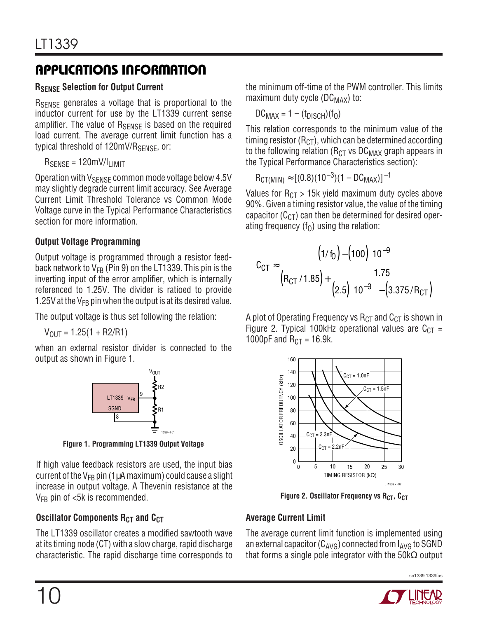### **RSENSE Selection for Output Current**

R<sub>SENSE</sub> generates a voltage that is proportional to the inductor current for use by the LT1339 current sense amplifier. The value of  $R_{\text{SENSF}}$  is based on the required load current. The average current limit function has a typical threshold of 120mV/R<sub>SFNSF</sub>, or:

 $R<sub>SENSE</sub> = 120mV/l<sub>LIMIT</sub>$ 

Operation with  $V_{\text{SFNSF}}$  common mode voltage below 4.5V may slightly degrade current limit accuracy. See Average Current Limit Threshold Tolerance vs Common Mode Voltage curve in the Typical Performance Characteristics section for more information.

#### **Output Voltage Programming**

Output voltage is programmed through a resistor feedback network to  $V_{FB}$  (Pin 9) on the LT1339. This pin is the inverting input of the error amplifier, which is internally referenced to 1.25V. The divider is ratioed to provide 1.25V at the  $V_{FB}$  pin when the output is at its desired value.

The output voltage is thus set following the relation:

 $V_{OIII} = 1.25(1 + R2/R1)$ 

when an external resistor divider is connected to the output as shown in Figure 1.



**Figure 1. Programming LT1339 Output Voltage**

If high value feedback resistors are used, the input bias current of the  $V_{FB}$  pin (1µA maximum) could cause a slight increase in output voltage. A Thevenin resistance at the  $V_{FB}$  pin of  $<5k$  is recommended.

### **Oscillator Components R<sub>CT</sub> and C<sub>CT</sub>**

The LT1339 oscillator creates a modified sawtooth wave at its timing node (CT) with a slow charge, rapid discharge characteristic. The rapid discharge time corresponds to the minimum off-time of the PWM controller. This limits maximum duty cycle ( $DC_{MAX}$ ) to:

$$
DC_{MAX} = 1 - (t_{DISCH})(f_0)
$$

This relation corresponds to the minimum value of the timing resistor ( $R<sub>CT</sub>$ ), which can be determined according to the following relation ( $R<sub>CT</sub>$  vs DC<sub>MAX</sub> graph appears in the Typical Performance Characteristics section):

$$
R_{CT(MIN)} \approx [(0.8)(10^{-3})(1 - DC_{MAX})]^{-1}
$$

Values for  $R<sub>CT</sub> > 15k$  yield maximum duty cycles above 90%. Given a timing resistor value, the value of the timing capacitor  $(C<sub>CT</sub>)$  can then be determined for desired operating frequency ( $f<sub>0</sub>$ ) using the relation:

$$
C_{CT} \approx \frac{\left(1/ \text{f}_0\right) - \left(100\right) \left(10^{-9}\right)}{\left(R_{CT}/1.85\right) + \frac{1.75}{\left(2.5\right) \left(10^{-3}\right) - \left(3.375/R_{CT}\right)}}
$$

A plot of Operating Frequency vs  $R<sub>CT</sub>$  and  $C<sub>CT</sub>$  is shown in Figure 2. Typical 100kHz operational values are  $C_{CT}$  = 1000pF and  $R_{CT} = 16.9k$ .



**Figure 2. Oscillator Frequency vs RCT, CCT** 

### **Average Current Limit**

The average current limit function is implemented using an external capacitor ( $C_{AVG}$ ) connected from  $I_{AVG}$  to SGND that forms a single pole integrator with the  $50 \text{k}\Omega$  output

sn1339 1339fas

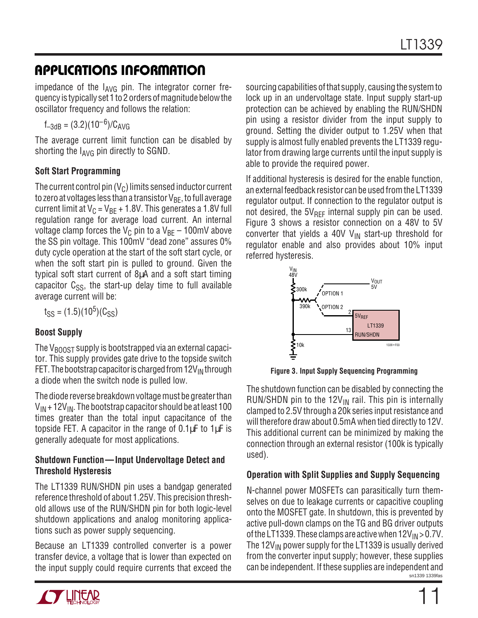impedance of the IAVG pin. The integrator corner frequency is typically set 1 to 2 orders of magnitude below the oscillator frequency and follows the relation:

 $f_{-3dB} = (3.2)(10^{-6})/C_{AVG}$ 

The average current limit function can be disabled by shorting the  $I_{AVG}$  pin directly to SGND.

#### **Soft Start Programming**

The current control pin  $(V_C)$  limits sensed inductor current to zero at voltages less than a transistor  $V_{BF}$ , to full average current limit at  $V_C = V_{BE} + 1.8V$ . This generates a 1.8V full regulation range for average load current. An internal voltage clamp forces the V<sub>C</sub> pin to a V<sub>BE</sub> – 100mV above the SS pin voltage. This 100mV "dead zone" assures 0% duty cycle operation at the start of the soft start cycle, or when the soft start pin is pulled to ground. Given the typical soft start current of 8µA and a soft start timing capacitor  $C_{SS}$ , the start-up delay time to full available average current will be:

 $t_{SS} = (1.5)(10^5)(C_{SS})$ 

### **Boost Supply**

The  $V_{\text{BODST}}$  supply is bootstrapped via an external capacitor. This supply provides gate drive to the topside switch FET. The bootstrap capacitor is charged from  $12V_{IN}$  through a diode when the switch node is pulled low.

The diode reverse breakdown voltage must be greater than  $V_{IN}$  + 12V<sub>IN</sub>. The bootstrap capacitor should be at least 100 times greater than the total input capacitance of the topside FET. A capacitor in the range of  $0.1 \mu$ F to  $1 \mu$ F is generally adequate for most applications.

#### **Shutdown Function—Input Undervoltage Detect and Threshold Hysteresis**

The LT1339 RUN/SHDN pin uses a bandgap generated reference threshold of about 1.25V. This precision threshold allows use of the RUN/SHDN pin for both logic-level shutdown applications and analog monitoring applications such as power supply sequencing.

Because an LT1339 controlled converter is a power transfer device, a voltage that is lower than expected on the input supply could require currents that exceed the



If additional hysteresis is desired for the enable function, an external feedback resistor can be used from the LT1339 regulator output. If connection to the regulator output is not desired, the  $5V_{RFF}$  internal supply pin can be used. Figure 3 shows a resistor connection on a 48V to 5V converter that yields a 40V  $V_{IN}$  start-up threshold for regulator enable and also provides about 10% input referred hysteresis.



**Figure 3. Input Supply Sequencing Programming**

The shutdown function can be disabled by connecting the RUN/SHDN pin to the  $12V_{IN}$  rail. This pin is internally clamped to 2.5V through a 20k series input resistance and will therefore draw about 0.5mA when tied directly to 12V. This additional current can be minimized by making the connection through an external resistor (100k is typically used).

#### **Operation with Split Supplies and Supply Sequencing**

sn1339 1339fas N-channel power MOSFETs can parasitically turn themselves on due to leakage currents or capacitive coupling onto the MOSFET gate. In shutdown, this is prevented by active pull-down clamps on the TG and BG driver outputs of the LT1339. These clamps are active when  $12V_{IN} > 0.7V$ . The  $12V_{IN}$  power supply for the LT1339 is usually derived from the converter input supply; however, these supplies can be independent. If these supplies are independent and

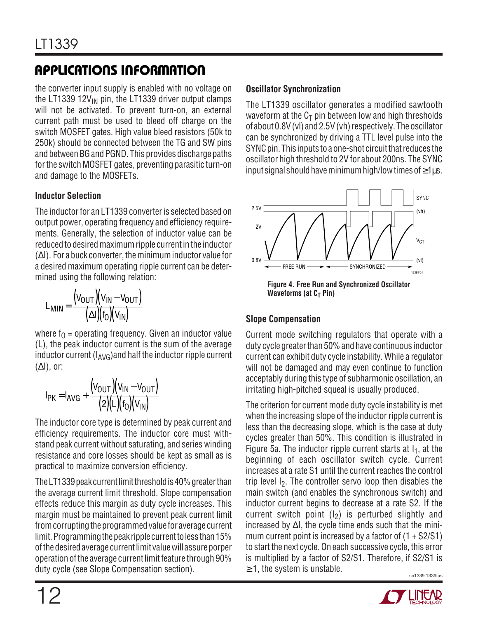the converter input supply is enabled with no voltage on the LT1339 12 $V_{IN}$  pin, the LT1339 driver output clamps will not be activated. To prevent turn-on, an external current path must be used to bleed off charge on the switch MOSFET gates. High value bleed resistors (50k to 250k) should be connected between the TG and SW pins and between BG and PGND. This provides discharge paths for the switch MOSFET gates, preventing parasitic turn-on and damage to the MOSFETs.

#### **Inductor Selection**

The inductor for an LT1339 converter is selected based on output power, operating frequency and efficiency requirements. Generally, the selection of inductor value can be reduced to desired maximum ripple current in the inductor (∆I). For a buck converter, the minimum inductor value for a desired maximum operating ripple current can be determined using the following relation:

$$
L_{MIN} = \frac{(V_{OUT})(V_{IN} - V_{OUT})}{(\Delta I)(f_0)(V_{IN})}
$$

where  $f_0$  = operating frequency. Given an inductor value (L), the peak inductor current is the sum of the average inductor current  $(I_{AVG})$  and half the inductor ripple current  $(\Delta I)$ , or:

$$
I_{PK} = I_{AVG} + \frac{(V_{OUT})(V_{IN} - V_{OUT})}{(2)(L)(f_0)(V_{IN})}
$$

The inductor core type is determined by peak current and efficiency requirements. The inductor core must withstand peak current without saturating, and series winding resistance and core losses should be kept as small as is practical to maximize conversion efficiency.

The LT1339 peak current limit threshold is 40% greater than the average current limit threshold. Slope compensation effects reduce this margin as duty cycle increases. This margin must be maintained to prevent peak current limit from corrupting the programmed value for average current limit. Programming the peak ripple current to less than 15% of the desired average current limit value will assure porper operation of the average current limit feature through 90% duty cycle (see Slope Compensation section).

#### **Oscillator Synchronization**

The LT1339 oscillator generates a modified sawtooth waveform at the  $C_T$  pin between low and high thresholds of about 0.8V (vl) and 2.5V (vh) respectively. The oscillator can be synchronized by driving a TTL level pulse into the SYNC pin. This inputs to a one-shot circuit that reduces the oscillator high threshold to 2V for about 200ns. The SYNC input signal should have minimum high/low times of  $\geq 1$ µs.



### **Waveforms (at C<sub>T</sub> Pin)**

### **Slope Compensation**

Current mode switching regulators that operate with a duty cycle greater than 50% and have continuous inductor current can exhibit duty cycle instability. While a regulator will not be damaged and may even continue to function acceptably during this type of subharmonic oscillation, an irritating high-pitched squeal is usually produced.

sn1339 1339fas The criterion for current mode duty cycle instability is met when the increasing slope of the inductor ripple current is less than the decreasing slope, which is the case at duty cycles greater than 50%. This condition is illustrated in Figure 5a. The inductor ripple current starts at  $I_1$ , at the beginning of each oscillator switch cycle. Current increases at a rate S1 until the current reaches the control trip level  $1<sub>2</sub>$ . The controller servo loop then disables the main switch (and enables the synchronous switch) and inductor current begins to decrease at a rate S2. If the current switch point  $(I_2)$  is perturbed slightly and increased by ∆I, the cycle time ends such that the minimum current point is increased by a factor of  $(1 + S2/S1)$ to start the next cycle. On each successive cycle, this error is multiplied by a factor of S2/S1. Therefore, if S2/S1 is  $\geq$  1, the system is unstable.

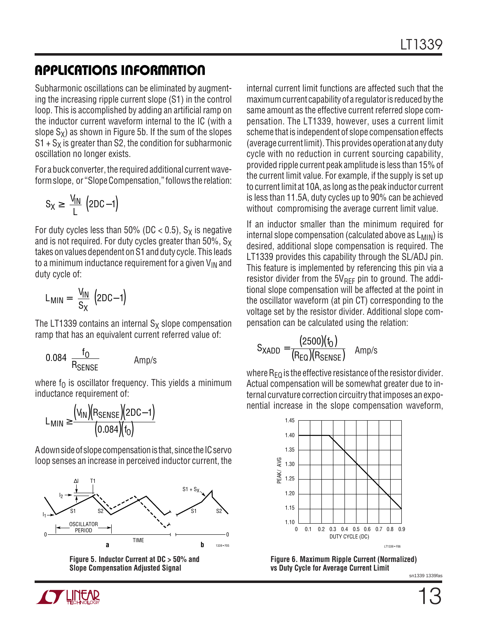Subharmonic oscillations can be eliminated by augmenting the increasing ripple current slope (S1) in the control loop. This is accomplished by adding an artificial ramp on the inductor current waveform internal to the IC (with a slope  $S_X$ ) as shown in Figure 5b. If the sum of the slopes  $S1 + S<sub>X</sub>$  is greater than S2, the condition for subharmonic oscillation no longer exists.

For a buck converter, the required additional current waveform slope, or "Slope Compensation," follows the relation:

$$
S_X \ge \left(\frac{V_{1N}}{L}\right)\left(2DC - 1\right)
$$

For duty cycles less than 50% (DC < 0.5),  $S_X$  is negative and is not required. For duty cycles greater than  $50\%$ , S<sub>x</sub> takes on values dependent on S1 and duty cycle. This leads to a minimum inductance requirement for a given  $V_{IN}$  and duty cycle of:

$$
L_{MIN} = \left(\frac{V_{IN}}{S_X}\right)(2DC-1)
$$

The LT1339 contains an internal  $S_X$  slope compensation ramp that has an equivalent current referred value of:

$$
0.084 \left(\frac{f_0}{R_{\text{SENSE}}}\right) \qquad \text{Amp/s}
$$

where  $f_0$  is oscillator frequency. This yields a minimum inductance requirement of:

$$
L_{MIN} \geq \frac{(V_{IN})(R_{SENSE})(2DC-1)}{(0.084)(f_0)}
$$

A down side of slope compensation is that, since the IC servo loop senses an increase in perceived inductor current, the



**Figure 5. Inductor Current at DC > 50% and Slope Compensation Adjusted Signal**

internal current limit functions are affected such that the maximum current capability of a regulator is reduced by the same amount as the effective current referred slope compensation. The LT1339, however, uses a current limit scheme that is independent of slope compensation effects (average current limit). This provides operation at any duty cycle with no reduction in current sourcing capability, provided ripple current peak amplitude is less than 15% of the current limit value. For example, if the supply is set up to current limit at 10A, as long as the peak inductor current is less than 11.5A, duty cycles up to 90% can be achieved without compromising the average current limit value.

If an inductor smaller than the minimum required for internal slope compensation (calculated above as  $L_{MIN}$ ) is desired, additional slope compensation is required. The LT1339 provides this capability through the SL/ADJ pin. This feature is implemented by referencing this pin via a resistor divider from the  $5V_{RFF}$  pin to ground. The additional slope compensation will be affected at the point in the oscillator waveform (at pin CT) corresponding to the voltage set by the resistor divider. Additional slope compensation can be calculated using the relation:

$$
S_{XADD} = \frac{(2500)(f_0)}{(R_{EQ})(R_{SENSE})}
$$
 Amp/s

where  $R_{FO}$  is the effective resistance of the resistor divider. Actual compensation will be somewhat greater due to internal curvature correction circuitry that imposes an exponential increase in the slope compensation waveform,



**Figure 6. Maximum Ripple Current (Normalized) vs Duty Cycle for Average Current Limit**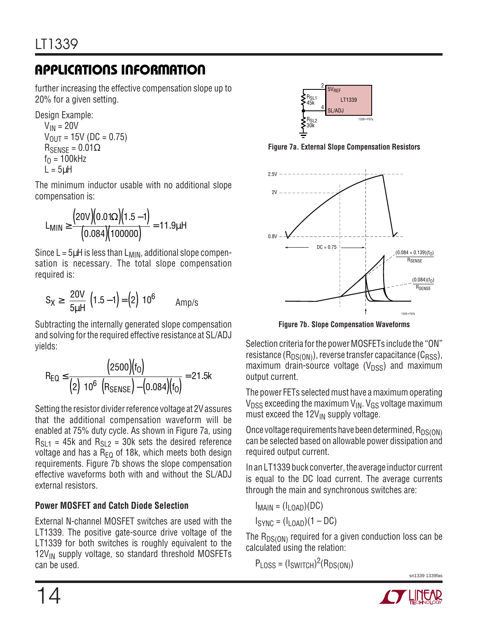further increasing the effective compensation slope up to 20% for a given setting.

Design Example:

 $V_{IN} = 20V$  $V_{\text{OUT}} = 15V$  (DC = 0.75)  $R_{\text{SENSE}} = 0.01\Omega$  $f<sub>0</sub> = 100kHz$  $L = 5 \mu H$ 

The minimum inductor usable with no additional slope compensation is:

$$
L_{MIN} \ge \frac{(20V)(0.01\Omega)(1.5-1)}{(0.084)(100000)} = 11.9 \mu H
$$

Since  $L = 5\mu H$  is less than  $L_{MIN}$ , additional slope compensation is necessary. The total slope compensation required is:

$$
S_X \ge \left(\frac{20V}{5\mu H}\right)(1.5-1) = \left(2\right)\left(10^6\right) \qquad \text{Amp/s}
$$

Subtracting the internally generated slope compensation and solving for the required effective resistance at SL/ADJ yields:

$$
R_{EQ} \leq \frac{\big(2500\big)\!\!\big(f_0\big)}{\big(2\big)\!\!\big(10^6\big)\!\!\big(R_{SENSE}\big)\!-\!\big(0.084\big)\!\!\big(f_0\big)}\!=21.5k
$$

Setting the resistor divider reference voltage at 2V assures that the additional compensation waveform will be enabled at 75% duty cycle. As shown in Figure 7a, using  $R_{S11}$  = 45k and  $R_{S12}$  = 30k sets the desired reference voltage and has a  $R_{EQ}$  of 18k, which meets both design requirements. Figure 7b shows the slope compensation effective waveforms both with and without the SL/ADJ external resistors.

### **Power MOSFET and Catch Diode Selection**

External N-channel MOSFET switches are used with the LT1339. The positive gate-source drive voltage of the LT1339 for both switches is roughly equivalent to the  $12V_{IN}$  supply voltage, so standard threshold MOSFETs can be used.



**Figure 7a. External Slope Compensation Resistors**



**Figure 7b. Slope Compensation Waveforms**

Selection criteria for the power MOSFETs include the "ON" resistance  $(R_{DS(ON)})$ , reverse transfer capacitance  $(C_{RSS})$ , maximum drain-source voltage  $(V_{DSS})$  and maximum output current.

The power FETs selected must have a maximum operating  $V_{DSS}$  exceeding the maximum  $V_{IN}$ .  $V_{GS}$  voltage maximum must exceed the  $12V_{IN}$  supply voltage.

Once voltage requirements have been determined,  $R_{DS(ON)}$ can be selected based on allowable power dissipation and required output current.

In an LT1339 buck converter, the average inductor current is equal to the DC load current. The average currents through the main and synchronous switches are:

$$
I_{\text{MAIN}} = (I_{\text{LOAD}})(DC)
$$
  

$$
I_{\text{SYNC}} = (I_{\text{LOAD}})(1 - DC)
$$

The  $R_{DS(ON)}$  required for a given conduction loss can be calculated using the relation:

 $P_{LOSS} = (I_{SWITCH})^2(R_{DS(ON)})$ 

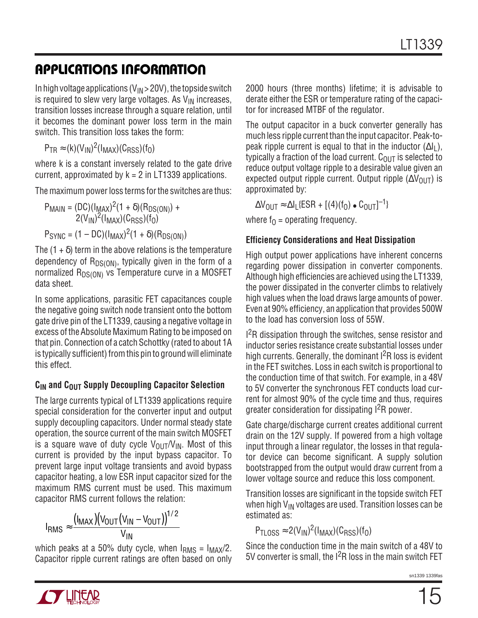In high voltage applications  $(V_{IN} > 20V)$ , the topside switch is required to slew very large voltages. As  $V_{IN}$  increases, transition losses increase through a square relation, until it becomes the dominant power loss term in the main switch. This transition loss takes the form:

 $P_{TR} \approx (k)(V_{IN})^2 (I_{MAX})(C_{RSS})(f_0)$ 

where k is a constant inversely related to the gate drive current, approximated by  $k = 2$  in LT1339 applications.

The maximum power loss terms for the switches are thus:

 $P_{\text{MAIN}} = (DC)(I_{\text{MAX}})^{2}(1 + \delta)(R_{DS(ON)}) +$  $2(V_{\mathsf{IN}})^2(\mathsf{I}_{\mathsf{MAX}})(\mathsf{C}_{\mathsf{RSS}})(\mathsf{f}_\mathsf{O})$  $P_{SYNC} = (1 - DC)(I_{MAX})^2(1 + \delta)(R_{DS(ON)})$ 

The  $(1 + \delta)$  term in the above relations is the temperature

dependency of  $R_{DS(ON)}$ , typically given in the form of a normalized  $R_{DS(ON)}$  vs Temperature curve in a MOSFET data sheet.

In some applications, parasitic FET capacitances couple the negative going switch node transient onto the bottom gate drive pin of the LT1339, causing a negative voltage in excess of the Absolute Maximum Rating to be imposed on that pin. Connection of a catch Schottky (rated to about 1A is typically sufficient) from this pin to ground will eliminate this effect.

### **CIN and COUT Supply Decoupling Capacitor Selection**

The large currents typical of LT1339 applications require special consideration for the converter input and output supply decoupling capacitors. Under normal steady state operation, the source current of the main switch MOSFET is a square wave of duty cycle  $V_{\text{OUT}}/V_{\text{IN}}$ . Most of this current is provided by the input bypass capacitor. To prevent large input voltage transients and avoid bypass capacitor heating, a low ESR input capacitor sized for the maximum RMS current must be used. This maximum capacitor RMS current follows the relation:

$$
I_{RMS} \approx \frac{(I_{MAX})(V_{OUT}(V_{IN}-V_{OUT}))^{1/2}}{V_{IN}}
$$

which peaks at a 50% duty cycle, when  $I<sub>RMS</sub> = I<sub>MAX</sub>/2$ . Capacitor ripple current ratings are often based on only 2000 hours (three months) lifetime; it is advisable to derate either the ESR or temperature rating of the capacitor for increased MTBF of the regulator.

The output capacitor in a buck converter generally has much less ripple current than the input capacitor. Peak-topeak ripple current is equal to that in the inductor  $(\Delta I_L)$ , typically a fraction of the load current.  $C_{\text{OUT}}$  is selected to reduce output voltage ripple to a desirable value given an expected output ripple current. Output ripple  $(\Delta V_{OUT})$  is approximated by:

 $\Delta V_{\text{OUT}} \approx \Delta I_{\text{L}} \{\text{ESR} + [(4)(f_{\text{O}}) \bullet C_{\text{OUT}}]^{-1}\}$ 

where  $f_0$  = operating frequency.

#### **Efficiency Considerations and Heat Dissipation**

High output power applications have inherent concerns regarding power dissipation in converter components. Although high efficiencies are achieved using the LT1339, the power dissipated in the converter climbs to relatively high values when the load draws large amounts of power. Even at 90% efficiency, an application that provides 500W to the load has conversion loss of 55W.

<sup>2</sup>R dissipation through the switches, sense resistor and inductor series resistance create substantial losses under high currents. Generally, the dominant  $1^2R$  loss is evident in the FET switches. Loss in each switch is proportional to the conduction time of that switch. For example, in a 48V to 5V converter the synchronous FET conducts load current for almost 90% of the cycle time and thus, requires greater consideration for dissipating I2R power.

Gate charge/discharge current creates additional current drain on the 12V supply. If powered from a high voltage input through a linear regulator, the losses in that regulator device can become significant. A supply solution bootstrapped from the output would draw current from a lower voltage source and reduce this loss component.

Transition losses are significant in the topside switch FET when high  $V_{IN}$  voltages are used. Transition losses can be estimated as:

 $P_{\text{TLOS}} \approx 2(V_{\text{IN}})^2(I_{\text{MAX}})(C_{\text{RSS}})(f_0)$ 

Since the conduction time in the main switch of a 48V to 5V converter is small, the I<sup>2</sup>R loss in the main switch FET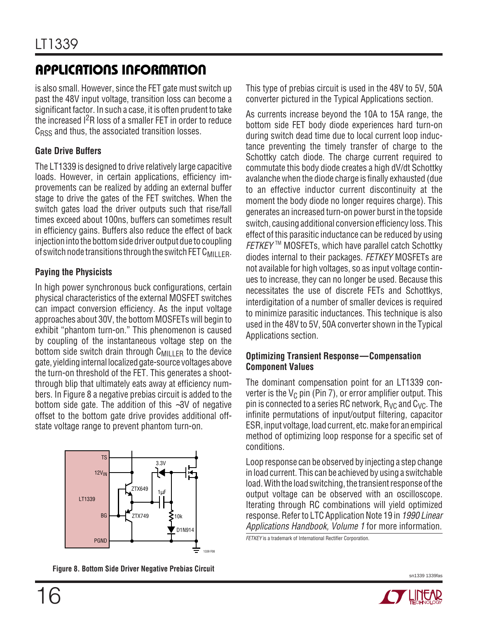is also small. However, since the FET gate must switch up past the 48V input voltage, transition loss can become a significant factor. In such a case, it is often prudent to take the increased I2R loss of a smaller FET in order to reduce  $C<sub>RSS</sub>$  and thus, the associated transition losses.

#### **Gate Drive Buffers**

The LT1339 is designed to drive relatively large capacitive loads. However, in certain applications, efficiency improvements can be realized by adding an external buffer stage to drive the gates of the FET switches. When the switch gates load the driver outputs such that rise/fall times exceed about 100ns, buffers can sometimes result in efficiency gains. Buffers also reduce the effect of back injection into the bottom side driver output due to coupling of switch node transitions through the switch FET  $C_{\text{MILLER}}$ .

### **Paying the Physicists**

In high power synchronous buck configurations, certain physical characteristics of the external MOSFET switches can impact conversion efficiency. As the input voltage approaches about 30V, the bottom MOSFETs will begin to exhibit "phantom turn-on." This phenomenon is caused by coupling of the instantaneous voltage step on the bottom side switch drain through  $C_{\text{MILLER}}$  to the device gate, yielding internal localized gate-source voltages above the turn-on threshold of the FET. This generates a shootthrough blip that ultimately eats away at efficiency numbers. In Figure 8 a negative prebias circuit is added to the bottom side gate. The addition of this ∼3V of negative offset to the bottom gate drive provides additional offstate voltage range to prevent phantom turn-on.



**Figure 8. Bottom Side Driver Negative Prebias Circuit**

This type of prebias circuit is used in the 48V to 5V, 50A converter pictured in the Typical Applications section.

As currents increase beyond the 10A to 15A range, the bottom side FET body diode experiences hard turn-on during switch dead time due to local current loop inductance preventing the timely transfer of charge to the Schottky catch diode. The charge current required to commutate this body diode creates a high dV/dt Schottky avalanche when the diode charge is finally exhausted (due to an effective inductor current discontinuity at the moment the body diode no longer requires charge). This generates an increased turn-on power burst in the topside switch, causing additional conversion efficiency loss. This effect of this parasitic inductance can be reduced by using  $FETKEY^M$  MOSFETs, which have parallel catch Schottky diodes internal to their packages. FETKEY MOSFETs are not available for high voltages, so as input voltage continues to increase, they can no longer be used. Because this necessitates the use of discrete FETs and Schottkys, interdigitation of a number of smaller devices is required to minimize parasitic inductances. This technique is also used in the 48V to 5V, 50A converter shown in the Typical Applications section.

#### **Optimizing Transient Response—Compensation Component Values**

The dominant compensation point for an LT1339 converter is the  $V_C$  pin (Pin 7), or error amplifier output. This pin is connected to a series RC network,  $R_{VC}$  and  $C_{VC}$ . The infinite permutations of input/output filtering, capacitor ESR, input voltage, load current, etc. make for an empirical method of optimizing loop response for a specific set of conditions.

Loop response can be observed by injecting a step change in load current. This can be achieved by using a switchable load. With the load switching, the transient response of the output voltage can be observed with an oscilloscope. Iterating through RC combinations will yield optimized response. Refer to LTC Application Note 19 in 1990 Linear Applications Handbook, Volume 1 for more information.

**FETKEY** is a trademark of International Rectifier Corporation.

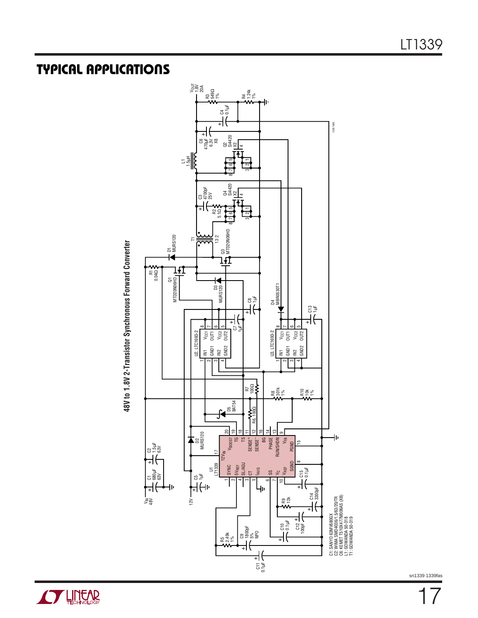### **TYPICAL APPLICATIONS U**

**48V to 1.8V 2-Transistor Synchronous Forward Converter**

48V to 1.8V 2-Transistor Synchronous Forward Converter



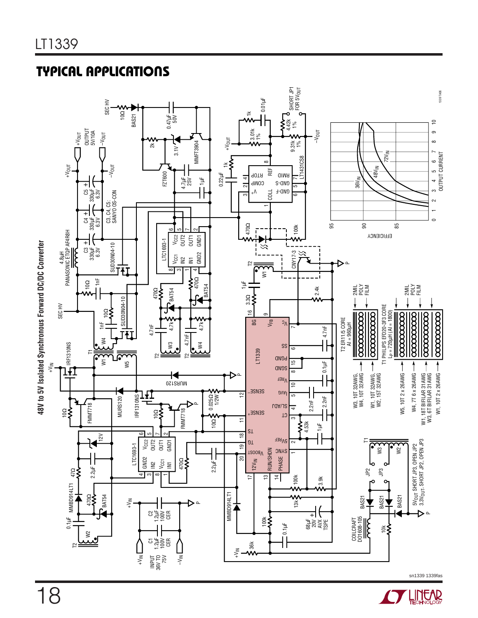### **TYPICAL APPLICATIONS U**



LINEAD **ITT**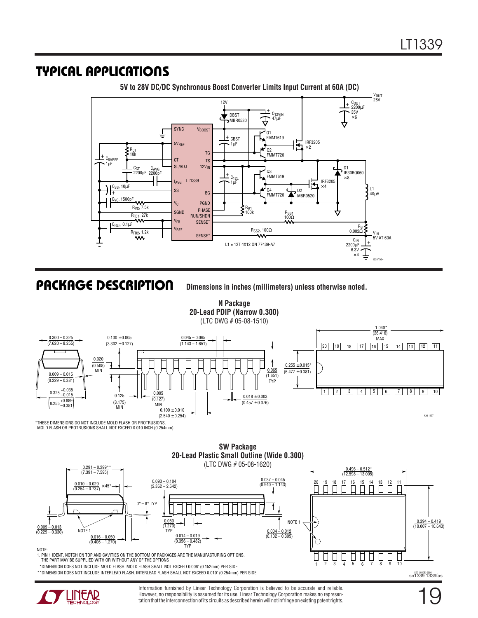### **TYPICAL APPLICATIONS U**



**5V to 28V DC/DC Synchronous Boost Converter Limits Input Current at 60A (DC)**

**PACKAGE DESCRIPTION**

**U Dimensions in inches (millimeters) unless otherwise noted.**





\*\*DIMENSION DOES NOT INCLUDE INTERLEAD FLASH. INTERLEAD FLASH SHALL NOT EXCEED 0.010" (0.254mm) PER SIDE



Information furnished by Linear Technology Corporation is believed to be accurate and reliable. However, no responsibility is assumed for its use. Linear Technology Corporation makes no representation that the interconnection of its circuits as described herein will not infringe on existing patent rights.

19

s20 (WIDE) 0396<br>Sn1339 1339fas